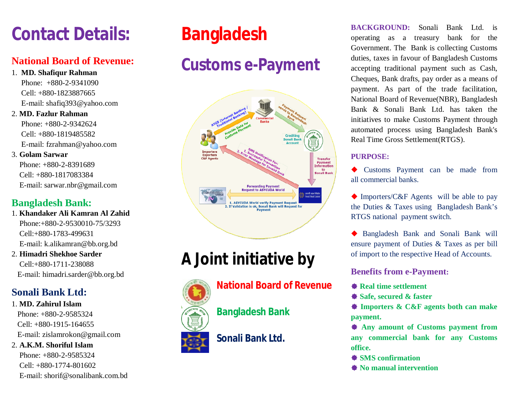# **Contact Details:**

## **National Board of Revenue:**

- 1. **MD. Shafiqur Rahman** Phone: +880-2-9341090 Cell: +880-1823887665 E-mail: shafiq393@yahoo.com
- 2. **MD. Fazlur Rahman**

 Phone: +880-2-9342624 Cell: +880-1819485582 E-mail: fzrahman@yahoo.com

### 3. **Golam Sarwar**

 Phone: +880-2-8391689 Cell: +880-1817083384 E-mail: sarwar.nbr@gmail.com

## **Bangladesh Bank:**

- 1. **Khandaker Ali Kamran Al Zahid** Phone:+880-2-9530010-75/3293 Cell:+880-1783-499631 E-mail: k.alikamran@bb.org.bd
- 2. **Himadri Shekhoe Sarder** Cell:+880-1711-238088 E-mail: himadri.sarder@bb.org.bd

## **Sonali Bank Ltd:**

1. **MD. Zahirul Islam** Phone: +880-2-9585324 Cell: +880-1915-164655 E-mail: zislamrokon@gmail.com 2. **A.K.M. Shoriful Islam**

 Phone: +880-2-9585324 Cell: +880-1774-801602 E-mail: shorif@sonalibank.com.bd

# **Bangladesh**

# **Customs e-Payment**



# **A Joint initiative by**

# **National Board of Revenue**

**Bangladesh Bank**

**Sonali Bank Ltd.**

**BACKGROUND:** Sonali Bank Ltd. is operating as a treasury bank for the Government. The Bank is collecting Customs duties, taxes in favour of Bangladesh Customs accepting traditional payment such as Cash, Cheques, Bank drafts, pay order as a means of payment. As part of the trade facilitation, National Board of Revenue(NBR), Bangladesh Bank & Sonali Bank Ltd. has taken the initiatives to make Customs Payment through automated process using Bangladesh Bank's Real Time Gross Settlement(RTGS).

### **PURPOSE:**

 Customs Payment can be made from all commercial banks.

◆ Importers/C&F Agents will be able to pay the Duties & Taxes using Bangladesh Bank's RTGS national payment switch.

 Bangladesh Bank and Sonali Bank will ensure payment of Duties & Taxes as per bill of import to the respective Head of Accounts.

### **Benefits from e-Payment:**

- **Real time settlement**
- **Safe, secured & faster**

 **Importers & C&F agents both can make payment.**

 **Any amount of Customs payment from any commercial bank for any Customs office.**

- **SMS** confirmation
- **No manual intervention**